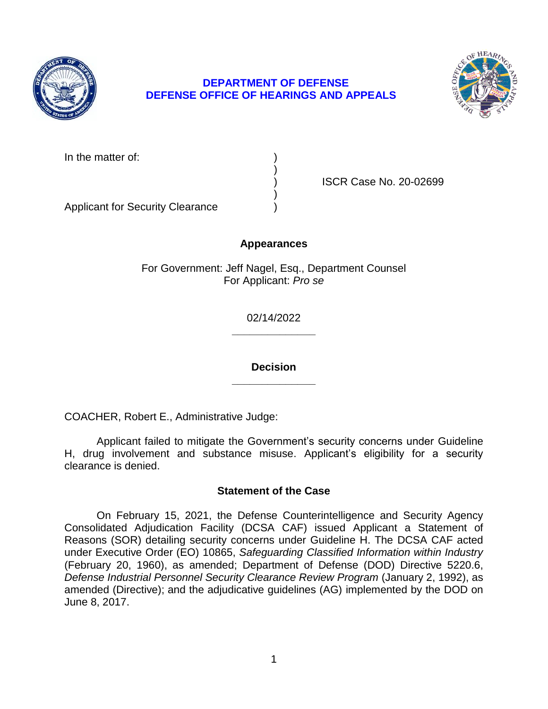

# **DEPARTMENT OF DEFENSE DEFENSE OFFICE OF HEARINGS AND APPEALS**



In the matter of:

) ISCR Case No. 20-02699

Applicant for Security Clearance )

# **Appearances**

)

)

For Government: Jeff Nagel, Esq., Department Counsel For Applicant: *Pro se* 

> **\_\_\_\_\_\_\_\_\_\_\_\_\_\_**  02/14/2022

> **\_\_\_\_\_\_\_\_\_\_\_\_\_\_ Decision**

COACHER, Robert E., Administrative Judge:

 Applicant failed to mitigate the Government's security concerns under Guideline H, drug involvement and substance misuse. Applicant's eligibility for a security clearance is denied.

# **Statement of the Case**

 On February 15, 2021, the Defense Counterintelligence and Security Agency Reasons (SOR) detailing security concerns under Guideline H. The DCSA CAF acted  under Executive Order (EO) 10865, *Safeguarding Classified Information within Industry*  (February 20, 1960), as amended; Department of Defense (DOD) Directive 5220.6, amended (Directive); and the adjudicative guidelines (AG) implemented by the DOD on Consolidated Adjudication Facility (DCSA CAF) issued Applicant a Statement of *Defense Industrial Personnel Security Clearance Review Program* (January 2, 1992), as June 8, 2017.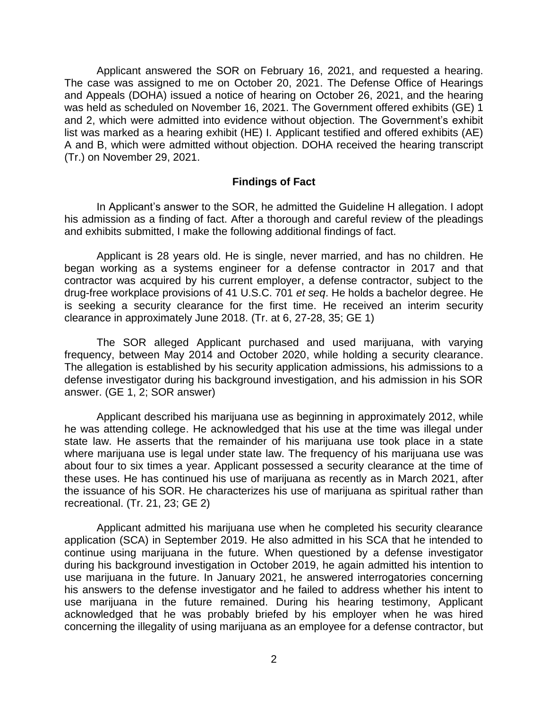Applicant answered the SOR on February 16, 2021, and requested a hearing. The case was assigned to me on October 20, 2021. The Defense Office of Hearings and Appeals (DOHA) issued a notice of hearing on October 26, 2021, and the hearing and 2, which were admitted into evidence without objection. The Government's exhibit list was marked as a hearing exhibit (HE) I. Applicant testified and offered exhibits (AE) A and B, which were admitted without objection. DOHA received the hearing transcript was held as scheduled on November 16, 2021. The Government offered exhibits (GE) 1 (Tr.) on November 29, 2021.

#### **Findings of Fact**

 In Applicant's answer to the SOR, he admitted the Guideline H allegation. I adopt his admission as a finding of fact. After a thorough and careful review of the pleadings and exhibits submitted, I make the following additional findings of fact.

 Applicant is 28 years old. He is single, never married, and has no children. He began working as a systems engineer for a defense contractor in 2017 and that contractor was acquired by his current employer, a defense contractor, subject to the is seeking a security clearance for the first time. He received an interim security drug-free workplace provisions of 41 U.S.C. 701 *et seq*. He holds a bachelor degree. He clearance in approximately June 2018. (Tr. at 6, 27-28, 35; GE 1)

 The SOR alleged Applicant purchased and used marijuana, with varying frequency, between May 2014 and October 2020, while holding a security clearance. The allegation is established by his security application admissions, his admissions to a defense investigator during his background investigation, and his admission in his SOR answer. (GE 1, 2; SOR answer)

 Applicant described his marijuana use as beginning in approximately 2012, while he was attending college. He acknowledged that his use at the time was illegal under state law. He asserts that the remainder of his marijuana use took place in a state where marijuana use is legal under state law. The frequency of his marijuana use was about four to six times a year. Applicant possessed a security clearance at the time of these uses. He has continued his use of marijuana as recently as in March 2021, after the issuance of his SOR. He characterizes his use of marijuana as spiritual rather than recreational. (Tr. 21, 23; GE 2)

 Applicant admitted his marijuana use when he completed his security clearance application (SCA) in September 2019. He also admitted in his SCA that he intended to continue using marijuana in the future. When questioned by a defense investigator during his background investigation in October 2019, he again admitted his intention to use marijuana in the future. In January 2021, he answered interrogatories concerning his answers to the defense investigator and he failed to address whether his intent to use marijuana in the future remained. During his hearing testimony, Applicant acknowledged that he was probably briefed by his employer when he was hired concerning the illegality of using marijuana as an employee for a defense contractor, but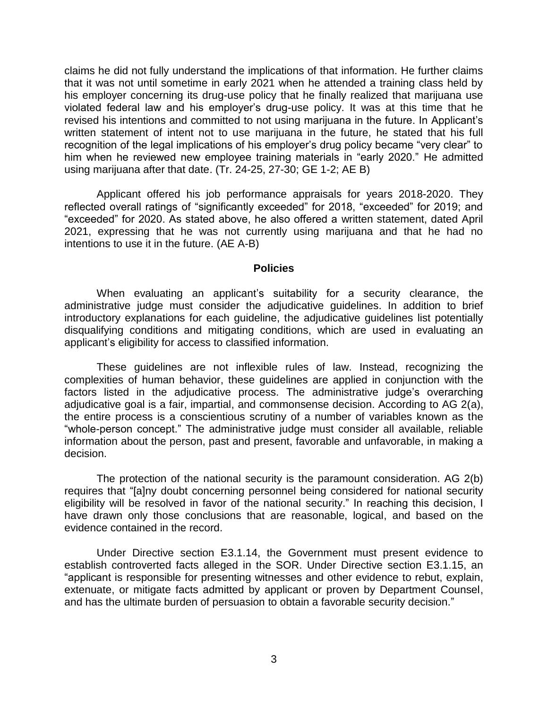claims he did not fully understand the implications of that information. He further claims that it was not until sometime in early 2021 when he attended a training class held by his employer concerning its drug-use policy that he finally realized that marijuana use violated federal law and his employer's drug-use policy. It was at this time that he revised his intentions and committed to not using marijuana in the future. In Applicant's written statement of intent not to use marijuana in the future, he stated that his full recognition of the legal implications of his employer's drug policy became "very clear" to him when he reviewed new employee training materials in "early 2020." He admitted using marijuana after that date. (Tr. 24-25, 27-30; GE 1-2; AE B)

 Applicant offered his job performance appraisals for years 2018-2020. They reflected overall ratings of "significantly exceeded" for 2018, "exceeded" for 2019; and "exceeded" for 2020. As stated above, he also offered a written statement, dated April 2021, expressing that he was not currently using marijuana and that he had no intentions to use it in the future. (AE A-B)

#### **Policies**

 When evaluating an applicant's suitability for a security clearance, the administrative judge must consider the adjudicative guidelines. In addition to brief introductory explanations for each guideline, the adjudicative guidelines list potentially disqualifying conditions and mitigating conditions, which are used in evaluating an applicant's eligibility for access to classified information.

 These guidelines are not inflexible rules of law. Instead, recognizing the complexities of human behavior, these guidelines are applied in conjunction with the factors listed in the adjudicative process. The administrative judge's overarching adjudicative goal is a fair, impartial, and commonsense decision. According to AG 2(a), the entire process is a conscientious scrutiny of a number of variables known as the "whole-person concept." The administrative judge must consider all available, reliable information about the person, past and present, favorable and unfavorable, in making a decision.

 The protection of the national security is the paramount consideration. AG 2(b) eligibility will be resolved in favor of the national security." In reaching this decision, I have drawn only those conclusions that are reasonable, logical, and based on the requires that "[a]ny doubt concerning personnel being considered for national security evidence contained in the record.

 Under Directive section E3.1.14, the Government must present evidence to "applicant is responsible for presenting witnesses and other evidence to rebut, explain, extenuate, or mitigate facts admitted by applicant or proven by Department Counsel, and has the ultimate burden of persuasion to obtain a favorable security decision." establish controverted facts alleged in the SOR. Under Directive section E3.1.15, an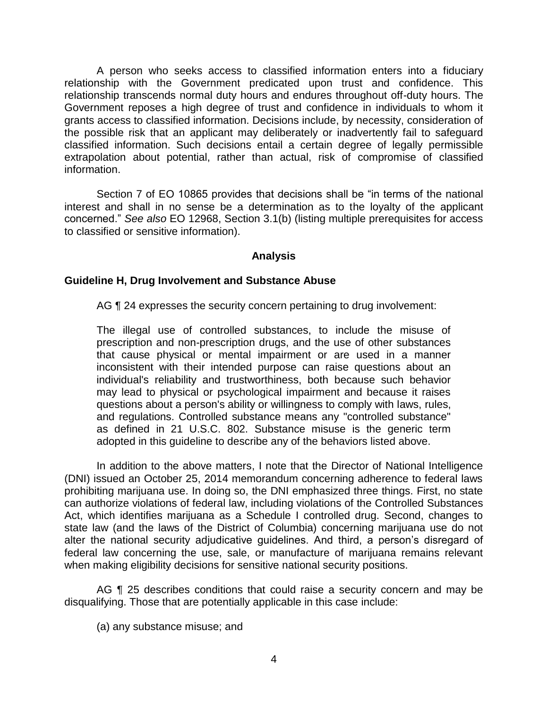A person who seeks access to classified information enters into a fiduciary relationship with the Government predicated upon trust and confidence. This relationship transcends normal duty hours and endures throughout off-duty hours. The Government reposes a high degree of trust and confidence in individuals to whom it grants access to classified information. Decisions include, by necessity, consideration of the possible risk that an applicant may deliberately or inadvertently fail to safeguard classified information. Such decisions entail a certain degree of legally permissible extrapolation about potential, rather than actual, risk of compromise of classified information.

 Section 7 of EO 10865 provides that decisions shall be "in terms of the national interest and shall in no sense be a determination as to the loyalty of the applicant concerned." *See also* EO 12968, Section 3.1(b) (listing multiple prerequisites for access to classified or sensitive information).

## **Analysis**

## **Guideline H, Drug Involvement and Substance Abuse**

AG ¶ 24 expresses the security concern pertaining to drug involvement:

The illegal use of controlled substances, to include the misuse of prescription and non-prescription drugs, and the use of other substances that cause physical or mental impairment or are used in a manner inconsistent with their intended purpose can raise questions about an individual's reliability and trustworthiness, both because such behavior may lead to physical or psychological impairment and because it raises questions about a person's ability or willingness to comply with laws, rules, and regulations. Controlled substance means any "controlled substance" as defined in 21 U.S.C. 802. Substance misuse is the generic term adopted in this guideline to describe any of the behaviors listed above.

 In addition to the above matters, I note that the Director of National Intelligence (DNI) issued an October 25, 2014 memorandum concerning adherence to federal laws prohibiting marijuana use. In doing so, the DNI emphasized three things. First, no state can authorize violations of federal law, including violations of the Controlled Substances Act, which identifies marijuana as a Schedule I controlled drug. Second, changes to state law (and the laws of the District of Columbia) concerning marijuana use do not alter the national security adjudicative guidelines. And third, a person's disregard of federal law concerning the use, sale, or manufacture of marijuana remains relevant when making eligibility decisions for sensitive national security positions.

AG ¶ 25 describes conditions that could raise a security concern and may be disqualifying. Those that are potentially applicable in this case include:

(a) any substance misuse; and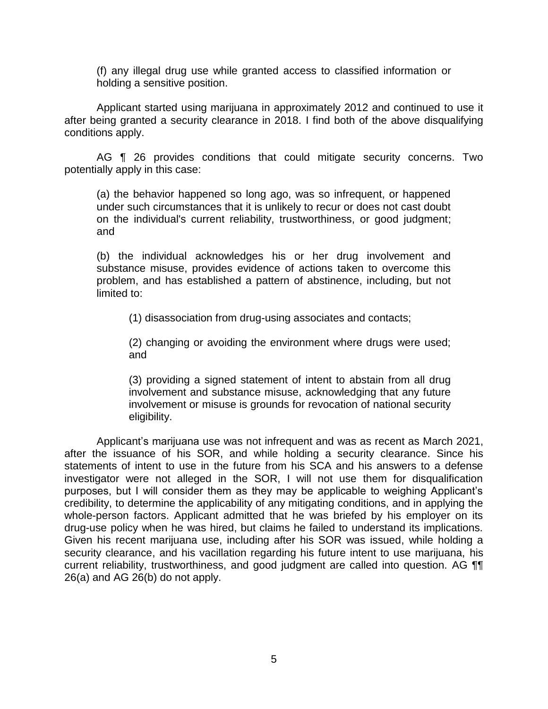(f) any illegal drug use while granted access to classified information or holding a sensitive position.

 Applicant started using marijuana in approximately 2012 and continued to use it after being granted a security clearance in 2018. I find both of the above disqualifying conditions apply.

 AG ¶ 26 provides conditions that could mitigate security concerns. Two potentially apply in this case:

(a) the behavior happened so long ago, was so infrequent, or happened under such circumstances that it is unlikely to recur or does not cast doubt on the individual's current reliability, trustworthiness, or good judgment; and

(b) the individual acknowledges his or her drug involvement and substance misuse, provides evidence of actions taken to overcome this problem, and has established a pattern of abstinence, including, but not limited to:

(1) disassociation from drug-using associates and contacts;

(2) changing or avoiding the environment where drugs were used; and

(3) providing a signed statement of intent to abstain from all drug involvement and substance misuse, acknowledging that any future involvement or misuse is grounds for revocation of national security eligibility.

 after the issuance of his SOR, and while holding a security clearance. Since his statements of intent to use in the future from his SCA and his answers to a defense investigator were not alleged in the SOR, I will not use them for disqualification purposes, but I will consider them as they may be applicable to weighing Applicant's credibility, to determine the applicability of any mitigating conditions, and in applying the whole-person factors. Applicant admitted that he was briefed by his employer on its drug-use policy when he was hired, but claims he failed to understand its implications. Given his recent marijuana use, including after his SOR was issued, while holding a security clearance, and his vacillation regarding his future intent to use marijuana, his current reliability, trustworthiness, and good judgment are called into question. AG ¶¶ Applicant's marijuana use was not infrequent and was as recent as March 2021, 26(a) and AG 26(b) do not apply.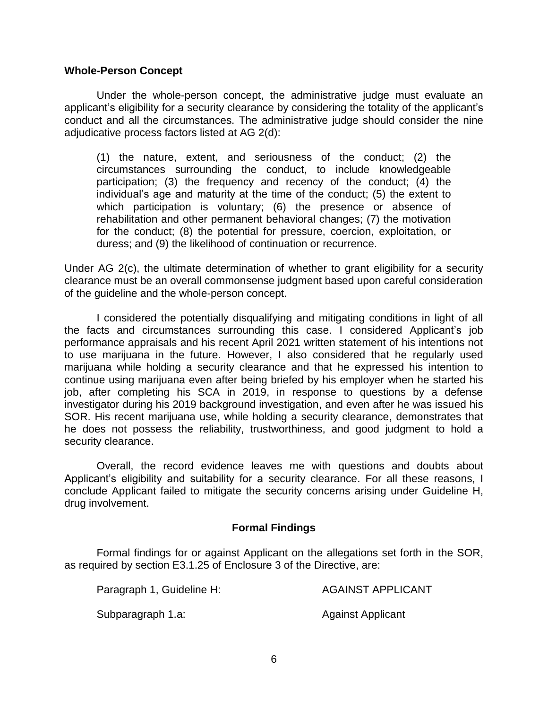### **Whole-Person Concept**

 Under the whole-person concept, the administrative judge must evaluate an applicant's eligibility for a security clearance by considering the totality of the applicant's conduct and all the circumstances. The administrative judge should consider the nine adjudicative process factors listed at AG 2(d):

(1) the nature, extent, and seriousness of the conduct; (2) the circumstances surrounding the conduct, to include knowledgeable participation; (3) the frequency and recency of the conduct; (4) the individual's age and maturity at the time of the conduct; (5) the extent to which participation is voluntary; (6) the presence or absence of rehabilitation and other permanent behavioral changes; (7) the motivation for the conduct; (8) the potential for pressure, coercion, exploitation, or duress; and (9) the likelihood of continuation or recurrence.

 Under AG 2(c), the ultimate determination of whether to grant eligibility for a security clearance must be an overall commonsense judgment based upon careful consideration of the guideline and the whole-person concept.

 I considered the potentially disqualifying and mitigating conditions in light of all performance appraisals and his recent April 2021 written statement of his intentions not to use marijuana in the future. However, I also considered that he regularly used marijuana while holding a security clearance and that he expressed his intention to continue using marijuana even after being briefed by his employer when he started his job, after completing his SCA in 2019, in response to questions by a defense investigator during his 2019 background investigation, and even after he was issued his SOR. His recent marijuana use, while holding a security clearance, demonstrates that he does not possess the reliability, trustworthiness, and good judgment to hold a the facts and circumstances surrounding this case. I considered Applicant's job security clearance.

 Applicant's eligibility and suitability for a security clearance. For all these reasons, I conclude Applicant failed to mitigate the security concerns arising under Guideline H, Overall, the record evidence leaves me with questions and doubts about drug involvement.

## **Formal Findings**

 as required by section E3.1.25 of Enclosure 3 of the Directive, are: Formal findings for or against Applicant on the allegations set forth in the SOR,

Paragraph 1, Guideline H: AGAINST APPLICANT

Subparagraph 1.a: Against Applicant